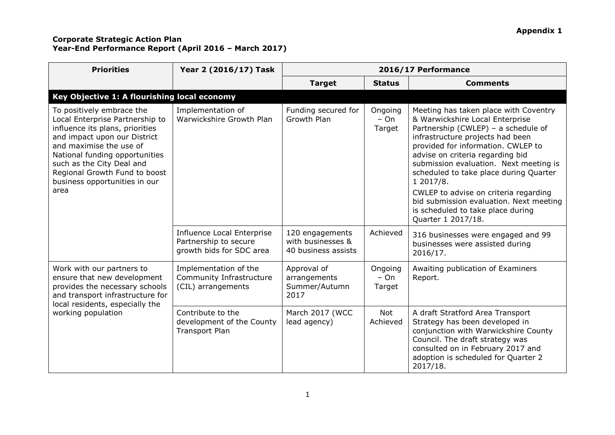| <b>Priorities</b>                                                                                                                                                                                                                                                                                   | Year 2 (2016/17) Task                                                           | 2016/17 Performance                                         |                             |                                                                                                                                                                                                                                                                                                                                                                                                                                                                               |
|-----------------------------------------------------------------------------------------------------------------------------------------------------------------------------------------------------------------------------------------------------------------------------------------------------|---------------------------------------------------------------------------------|-------------------------------------------------------------|-----------------------------|-------------------------------------------------------------------------------------------------------------------------------------------------------------------------------------------------------------------------------------------------------------------------------------------------------------------------------------------------------------------------------------------------------------------------------------------------------------------------------|
|                                                                                                                                                                                                                                                                                                     |                                                                                 | <b>Target</b>                                               | <b>Status</b>               | <b>Comments</b>                                                                                                                                                                                                                                                                                                                                                                                                                                                               |
| Key Objective 1: A flourishing local economy                                                                                                                                                                                                                                                        |                                                                                 |                                                             |                             |                                                                                                                                                                                                                                                                                                                                                                                                                                                                               |
| To positively embrace the<br>Local Enterprise Partnership to<br>influence its plans, priorities<br>and impact upon our District<br>and maximise the use of<br>National funding opportunities<br>such as the City Deal and<br>Regional Growth Fund to boost<br>business opportunities in our<br>area | Implementation of<br>Warwickshire Growth Plan                                   | Funding secured for<br>Growth Plan                          | Ongoing<br>$- On$<br>Target | Meeting has taken place with Coventry<br>& Warwickshire Local Enterprise<br>Partnership (CWLEP) - a schedule of<br>infrastructure projects had been<br>provided for information. CWLEP to<br>advise on criteria regarding bid<br>submission evaluation. Next meeting is<br>scheduled to take place during Quarter<br>1 2017/8.<br>CWLEP to advise on criteria regarding<br>bid submission evaluation. Next meeting<br>is scheduled to take place during<br>Quarter 1 2017/18. |
|                                                                                                                                                                                                                                                                                                     | Influence Local Enterprise<br>Partnership to secure<br>growth bids for SDC area | 120 engagements<br>with businesses &<br>40 business assists | Achieved                    | 316 businesses were engaged and 99<br>businesses were assisted during<br>2016/17.                                                                                                                                                                                                                                                                                                                                                                                             |
| Work with our partners to<br>ensure that new development<br>provides the necessary schools<br>and transport infrastructure for<br>local residents, especially the                                                                                                                                   | Implementation of the<br>Community Infrastructure<br>(CIL) arrangements         | Approval of<br>arrangements<br>Summer/Autumn<br>2017        | Ongoing<br>$- On$<br>Target | Awaiting publication of Examiners<br>Report.                                                                                                                                                                                                                                                                                                                                                                                                                                  |
| working population                                                                                                                                                                                                                                                                                  | Contribute to the<br>development of the County<br><b>Transport Plan</b>         | March 2017 (WCC<br>lead agency)                             | Not<br>Achieved             | A draft Stratford Area Transport<br>Strategy has been developed in<br>conjunction with Warwickshire County<br>Council. The draft strategy was<br>consulted on in February 2017 and<br>adoption is scheduled for Quarter 2<br>2017/18.                                                                                                                                                                                                                                         |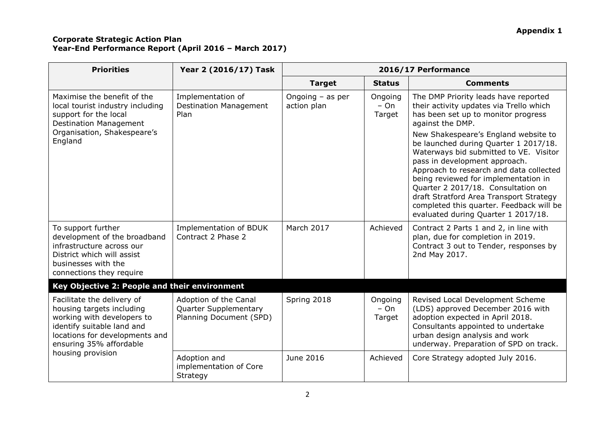| <b>Priorities</b>                                                                                                                                                                                     | Year 2 (2016/17) Task                                                            | 2016/17 Performance               |                             |                                                                                                                                                                                                                                                                                                                                                                                                                                                                                                                                                               |
|-------------------------------------------------------------------------------------------------------------------------------------------------------------------------------------------------------|----------------------------------------------------------------------------------|-----------------------------------|-----------------------------|---------------------------------------------------------------------------------------------------------------------------------------------------------------------------------------------------------------------------------------------------------------------------------------------------------------------------------------------------------------------------------------------------------------------------------------------------------------------------------------------------------------------------------------------------------------|
|                                                                                                                                                                                                       |                                                                                  | <b>Target</b>                     | <b>Status</b>               | <b>Comments</b>                                                                                                                                                                                                                                                                                                                                                                                                                                                                                                                                               |
| Maximise the benefit of the<br>local tourist industry including<br>support for the local<br><b>Destination Management</b><br>Organisation, Shakespeare's<br>England                                   | Implementation of<br><b>Destination Management</b><br>Plan                       | Ongoing $-$ as per<br>action plan | Ongoing<br>$- On$<br>Target | The DMP Priority leads have reported<br>their activity updates via Trello which<br>has been set up to monitor progress<br>against the DMP.<br>New Shakespeare's England website to<br>be launched during Quarter 1 2017/18.<br>Waterways bid submitted to VE. Visitor<br>pass in development approach.<br>Approach to research and data collected<br>being reviewed for implementation in<br>Quarter 2 2017/18. Consultation on<br>draft Stratford Area Transport Strategy<br>completed this quarter. Feedback will be<br>evaluated during Quarter 1 2017/18. |
| To support further<br>development of the broadband<br>infrastructure across our<br>District which will assist<br>businesses with the<br>connections they require                                      | Implementation of BDUK<br>Contract 2 Phase 2                                     | March 2017                        | Achieved                    | Contract 2 Parts 1 and 2, in line with<br>plan, due for completion in 2019.<br>Contract 3 out to Tender, responses by<br>2nd May 2017.                                                                                                                                                                                                                                                                                                                                                                                                                        |
| Key Objective 2: People and their environment                                                                                                                                                         |                                                                                  |                                   |                             |                                                                                                                                                                                                                                                                                                                                                                                                                                                                                                                                                               |
| Facilitate the delivery of<br>housing targets including<br>working with developers to<br>identify suitable land and<br>locations for developments and<br>ensuring 35% affordable<br>housing provision | Adoption of the Canal<br><b>Quarter Supplementary</b><br>Planning Document (SPD) | Spring 2018                       | Ongoing<br>$- On$<br>Target | Revised Local Development Scheme<br>(LDS) approved December 2016 with<br>adoption expected in April 2018.<br>Consultants appointed to undertake<br>urban design analysis and work<br>underway. Preparation of SPD on track.                                                                                                                                                                                                                                                                                                                                   |
|                                                                                                                                                                                                       | Adoption and<br>implementation of Core<br>Strategy                               | June 2016                         | Achieved                    | Core Strategy adopted July 2016.                                                                                                                                                                                                                                                                                                                                                                                                                                                                                                                              |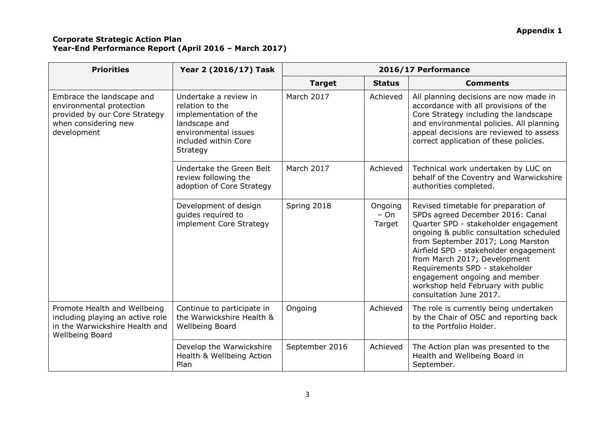| <b>Priorities</b>                                                                                                             | Year 2 (2016/17) Task                                                                                                                          | 2016/17 Performance |                             |                                                                                                                                                                                                                                                                                                                                                                                                               |
|-------------------------------------------------------------------------------------------------------------------------------|------------------------------------------------------------------------------------------------------------------------------------------------|---------------------|-----------------------------|---------------------------------------------------------------------------------------------------------------------------------------------------------------------------------------------------------------------------------------------------------------------------------------------------------------------------------------------------------------------------------------------------------------|
|                                                                                                                               |                                                                                                                                                | <b>Target</b>       | <b>Status</b>               | <b>Comments</b>                                                                                                                                                                                                                                                                                                                                                                                               |
| Embrace the landscape and<br>environmental protection<br>provided by our Core Strategy<br>when considering new<br>development | Undertake a review in<br>relation to the<br>implementation of the<br>landscape and<br>environmental issues<br>included within Core<br>Strategy | <b>March 2017</b>   | Achieved                    | All planning decisions are now made in<br>accordance with all provisions of the<br>Core Strategy including the landscape<br>and environmental policies. All planning<br>appeal decisions are reviewed to assess<br>correct application of these policies.                                                                                                                                                     |
|                                                                                                                               | Undertake the Green Belt<br>review following the<br>adoption of Core Strategy                                                                  | <b>March 2017</b>   | Achieved                    | Technical work undertaken by LUC on<br>behalf of the Coventry and Warwickshire<br>authorities completed.                                                                                                                                                                                                                                                                                                      |
|                                                                                                                               | Development of design<br>guides required to<br>implement Core Strategy                                                                         | Spring 2018         | Ongoing<br>$- On$<br>Target | Revised timetable for preparation of<br>SPDs agreed December 2016: Canal<br>Quarter SPD - stakeholder engagement<br>ongoing & public consultation scheduled<br>from September 2017; Long Marston<br>Airfield SPD - stakeholder engagement<br>from March 2017; Development<br>Requirements SPD - stakeholder<br>engagement ongoing and member<br>workshop held February with public<br>consultation June 2017. |
| Promote Health and Wellbeing<br>including playing an active role<br>in the Warwickshire Health and<br>Wellbeing Board         | Continue to participate in<br>the Warwickshire Health &<br>Wellbeing Board                                                                     | Ongoing             | Achieved                    | The role is currently being undertaken<br>by the Chair of OSC and reporting back<br>to the Portfolio Holder.                                                                                                                                                                                                                                                                                                  |
|                                                                                                                               | Develop the Warwickshire<br>Health & Wellbeing Action<br>Plan                                                                                  | September 2016      | Achieved                    | The Action plan was presented to the<br>Health and Wellbeing Board in<br>September.                                                                                                                                                                                                                                                                                                                           |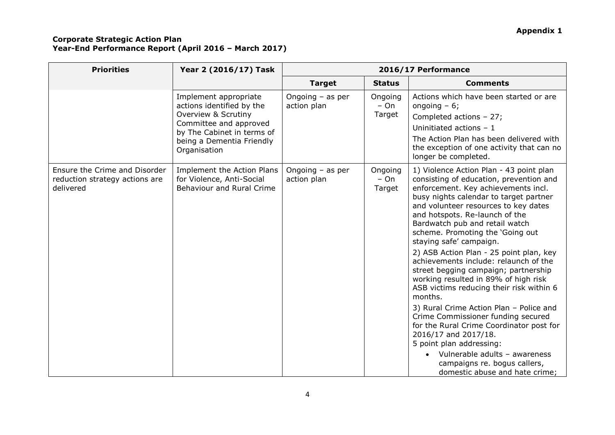| <b>Priorities</b>                                                            | Year 2 (2016/17) Task                                                                                                                                                          | 2016/17 Performance               |                             |                                                                                                                                                                                                                                                                                                                                                                                                                                                                                                                                                                                                                                                                                                                                                                                                                                                               |
|------------------------------------------------------------------------------|--------------------------------------------------------------------------------------------------------------------------------------------------------------------------------|-----------------------------------|-----------------------------|---------------------------------------------------------------------------------------------------------------------------------------------------------------------------------------------------------------------------------------------------------------------------------------------------------------------------------------------------------------------------------------------------------------------------------------------------------------------------------------------------------------------------------------------------------------------------------------------------------------------------------------------------------------------------------------------------------------------------------------------------------------------------------------------------------------------------------------------------------------|
|                                                                              |                                                                                                                                                                                | <b>Target</b>                     | <b>Status</b>               | <b>Comments</b>                                                                                                                                                                                                                                                                                                                                                                                                                                                                                                                                                                                                                                                                                                                                                                                                                                               |
|                                                                              | Implement appropriate<br>actions identified by the<br>Overview & Scrutiny<br>Committee and approved<br>by The Cabinet in terms of<br>being a Dementia Friendly<br>Organisation | Ongoing $-$ as per<br>action plan | Ongoing<br>$- On$<br>Target | Actions which have been started or are<br>ongoing $-6$ ;<br>Completed actions - 27;<br>Uninitiated actions $-1$<br>The Action Plan has been delivered with<br>the exception of one activity that can no<br>longer be completed.                                                                                                                                                                                                                                                                                                                                                                                                                                                                                                                                                                                                                               |
| Ensure the Crime and Disorder<br>reduction strategy actions are<br>delivered | <b>Implement the Action Plans</b><br>for Violence, Anti-Social<br><b>Behaviour and Rural Crime</b>                                                                             | Ongoing $-$ as per<br>action plan | Ongoing<br>$- On$<br>Target | 1) Violence Action Plan - 43 point plan<br>consisting of education, prevention and<br>enforcement. Key achievements incl.<br>busy nights calendar to target partner<br>and volunteer resources to key dates<br>and hotspots. Re-launch of the<br>Bardwatch pub and retail watch<br>scheme. Promoting the 'Going out<br>staying safe' campaign.<br>2) ASB Action Plan - 25 point plan, key<br>achievements include: relaunch of the<br>street begging campaign; partnership<br>working resulted in 89% of high risk<br>ASB victims reducing their risk within 6<br>months.<br>3) Rural Crime Action Plan - Police and<br>Crime Commissioner funding secured<br>for the Rural Crime Coordinator post for<br>2016/17 and 2017/18.<br>5 point plan addressing:<br>Vulnerable adults - awareness<br>campaigns re. bogus callers,<br>domestic abuse and hate crime; |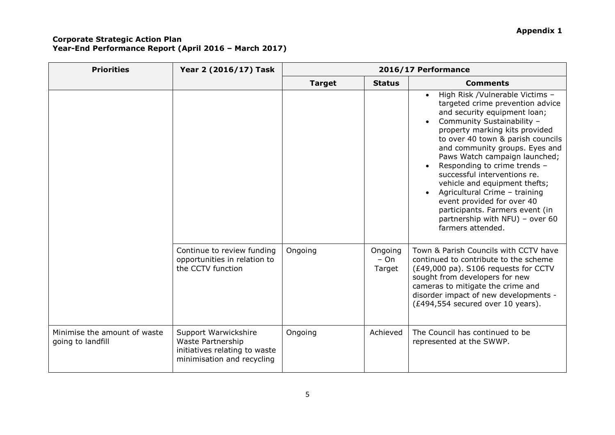| <b>Priorities</b>                                 | Year 2 (2016/17) Task                                                                                    | 2016/17 Performance |                             |                                                                                                                                                                                                                                                                                                                                                                                                                                                                                                                                                     |
|---------------------------------------------------|----------------------------------------------------------------------------------------------------------|---------------------|-----------------------------|-----------------------------------------------------------------------------------------------------------------------------------------------------------------------------------------------------------------------------------------------------------------------------------------------------------------------------------------------------------------------------------------------------------------------------------------------------------------------------------------------------------------------------------------------------|
|                                                   |                                                                                                          | <b>Target</b>       | <b>Status</b>               | <b>Comments</b>                                                                                                                                                                                                                                                                                                                                                                                                                                                                                                                                     |
|                                                   |                                                                                                          |                     |                             | High Risk /Vulnerable Victims -<br>$\bullet$<br>targeted crime prevention advice<br>and security equipment loan;<br>Community Sustainability -<br>property marking kits provided<br>to over 40 town & parish councils<br>and community groups. Eyes and<br>Paws Watch campaign launched;<br>Responding to crime trends -<br>successful interventions re.<br>vehicle and equipment thefts;<br>Agricultural Crime - training<br>event provided for over 40<br>participants. Farmers event (in<br>partnership with NFU) - over 60<br>farmers attended. |
|                                                   | Continue to review funding<br>opportunities in relation to<br>the CCTV function                          | Ongoing             | Ongoing<br>$- On$<br>Target | Town & Parish Councils with CCTV have<br>continued to contribute to the scheme<br>(£49,000 pa). S106 requests for CCTV<br>sought from developers for new<br>cameras to mitigate the crime and<br>disorder impact of new developments -<br>(£494,554 secured over 10 years).                                                                                                                                                                                                                                                                         |
| Minimise the amount of waste<br>going to landfill | Support Warwickshire<br>Waste Partnership<br>initiatives relating to waste<br>minimisation and recycling | Ongoing             | Achieved                    | The Council has continued to be<br>represented at the SWWP.                                                                                                                                                                                                                                                                                                                                                                                                                                                                                         |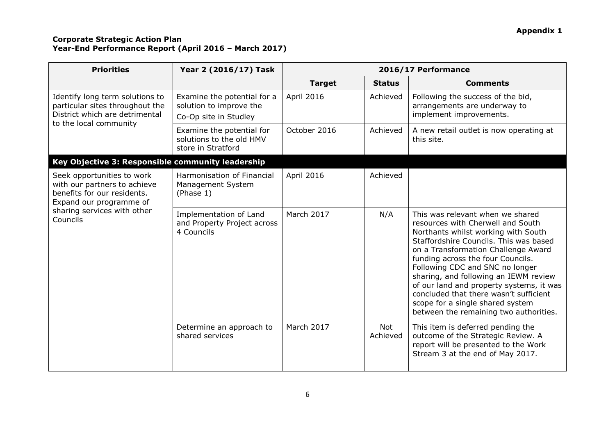| <b>Priorities</b>                                                                                                              | Year 2 (2016/17) Task                                                           | 2016/17 Performance |                        |                                                                                                                                                                                                                                                                                                                                                                                                                                                                                    |
|--------------------------------------------------------------------------------------------------------------------------------|---------------------------------------------------------------------------------|---------------------|------------------------|------------------------------------------------------------------------------------------------------------------------------------------------------------------------------------------------------------------------------------------------------------------------------------------------------------------------------------------------------------------------------------------------------------------------------------------------------------------------------------|
|                                                                                                                                |                                                                                 | <b>Target</b>       | <b>Status</b>          | <b>Comments</b>                                                                                                                                                                                                                                                                                                                                                                                                                                                                    |
| Identify long term solutions to<br>particular sites throughout the<br>District which are detrimental<br>to the local community | Examine the potential for a<br>solution to improve the<br>Co-Op site in Studley | April 2016          | Achieved               | Following the success of the bid,<br>arrangements are underway to<br>implement improvements.                                                                                                                                                                                                                                                                                                                                                                                       |
|                                                                                                                                | Examine the potential for<br>solutions to the old HMV<br>store in Stratford     | October 2016        | Achieved               | A new retail outlet is now operating at<br>this site.                                                                                                                                                                                                                                                                                                                                                                                                                              |
| Key Objective 3: Responsible community leadership                                                                              |                                                                                 |                     |                        |                                                                                                                                                                                                                                                                                                                                                                                                                                                                                    |
| Seek opportunities to work<br>with our partners to achieve<br>benefits for our residents.<br>Expand our programme of           | Harmonisation of Financial<br>Management System<br>(Phase 1)                    | April 2016          | Achieved               |                                                                                                                                                                                                                                                                                                                                                                                                                                                                                    |
| sharing services with other<br>Councils                                                                                        | Implementation of Land<br>and Property Project across<br>4 Councils             | March 2017          | N/A                    | This was relevant when we shared<br>resources with Cherwell and South<br>Northants whilst working with South<br>Staffordshire Councils. This was based<br>on a Transformation Challenge Award<br>funding across the four Councils.<br>Following CDC and SNC no longer<br>sharing, and following an IEWM review<br>of our land and property systems, it was<br>concluded that there wasn't sufficient<br>scope for a single shared system<br>between the remaining two authorities. |
|                                                                                                                                | Determine an approach to<br>shared services                                     | March 2017          | <b>Not</b><br>Achieved | This item is deferred pending the<br>outcome of the Strategic Review. A<br>report will be presented to the Work<br>Stream 3 at the end of May 2017.                                                                                                                                                                                                                                                                                                                                |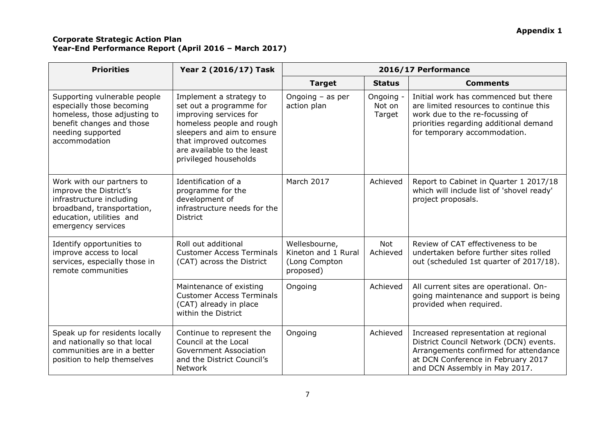| <b>Priorities</b>                                                                                                                                               | Year 2 (2016/17) Task                                                                                                                                                                                                    | 2016/17 Performance                                                |                               |                                                                                                                                                                                                |  |
|-----------------------------------------------------------------------------------------------------------------------------------------------------------------|--------------------------------------------------------------------------------------------------------------------------------------------------------------------------------------------------------------------------|--------------------------------------------------------------------|-------------------------------|------------------------------------------------------------------------------------------------------------------------------------------------------------------------------------------------|--|
|                                                                                                                                                                 |                                                                                                                                                                                                                          | <b>Target</b>                                                      | <b>Status</b>                 | <b>Comments</b>                                                                                                                                                                                |  |
| Supporting vulnerable people<br>especially those becoming<br>homeless, those adjusting to<br>benefit changes and those<br>needing supported<br>accommodation    | Implement a strategy to<br>set out a programme for<br>improving services for<br>homeless people and rough<br>sleepers and aim to ensure<br>that improved outcomes<br>are available to the least<br>privileged households | Ongoing $-$ as per<br>action plan                                  | Ongoing -<br>Not on<br>Target | Initial work has commenced but there<br>are limited resources to continue this<br>work due to the re-focussing of<br>priorities regarding additional demand<br>for temporary accommodation.    |  |
| Work with our partners to<br>improve the District's<br>infrastructure including<br>broadband, transportation,<br>education, utilities and<br>emergency services | Identification of a<br>programme for the<br>development of<br>infrastructure needs for the<br><b>District</b>                                                                                                            | <b>March 2017</b>                                                  | Achieved                      | Report to Cabinet in Quarter 1 2017/18<br>which will include list of 'shovel ready'<br>project proposals.                                                                                      |  |
| Identify opportunities to<br>improve access to local<br>services, especially those in<br>remote communities                                                     | Roll out additional<br><b>Customer Access Terminals</b><br>(CAT) across the District                                                                                                                                     | Wellesbourne,<br>Kineton and 1 Rural<br>(Long Compton<br>proposed) | <b>Not</b><br>Achieved        | Review of CAT effectiveness to be<br>undertaken before further sites rolled<br>out (scheduled 1st quarter of 2017/18).                                                                         |  |
|                                                                                                                                                                 | Maintenance of existing<br><b>Customer Access Terminals</b><br>(CAT) already in place<br>within the District                                                                                                             | Ongoing                                                            | Achieved                      | All current sites are operational. On-<br>going maintenance and support is being<br>provided when required.                                                                                    |  |
| Speak up for residents locally<br>and nationally so that local<br>communities are in a better<br>position to help themselves                                    | Continue to represent the<br>Council at the Local<br><b>Government Association</b><br>and the District Council's<br>Network                                                                                              | Ongoing                                                            | Achieved                      | Increased representation at regional<br>District Council Network (DCN) events.<br>Arrangements confirmed for attendance<br>at DCN Conference in February 2017<br>and DCN Assembly in May 2017. |  |